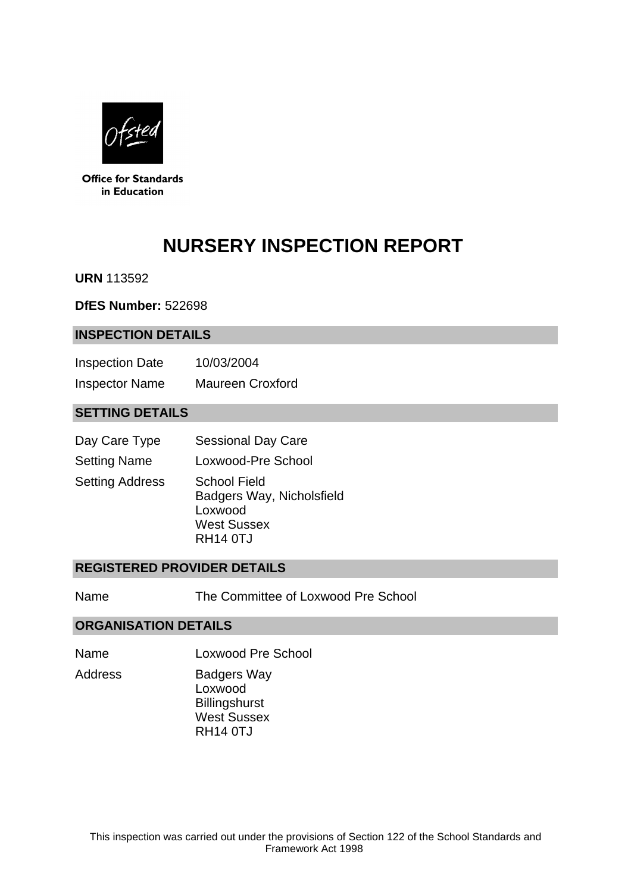

**Office for Standards** in Education

# **NURSERY INSPECTION REPORT**

**URN** 113592

**DfES Number:** 522698

#### **INSPECTION DETAILS**

| <b>Inspection Date</b> | 10/03/2004              |
|------------------------|-------------------------|
| <b>Inspector Name</b>  | <b>Maureen Croxford</b> |

## **SETTING DETAILS**

| Day Care Type          | <b>Sessional Day Care</b>                                                                            |
|------------------------|------------------------------------------------------------------------------------------------------|
| <b>Setting Name</b>    | Loxwood-Pre School                                                                                   |
| <b>Setting Address</b> | <b>School Field</b><br>Badgers Way, Nicholsfield<br>Loxwood<br><b>West Sussex</b><br><b>RH14 0TJ</b> |

#### **REGISTERED PROVIDER DETAILS**

Name The Committee of Loxwood Pre School

#### **ORGANISATION DETAILS**

Name Loxwood Pre School

Address Badgers Way Loxwood

**Billingshurst** West Sussex RH14 0TJ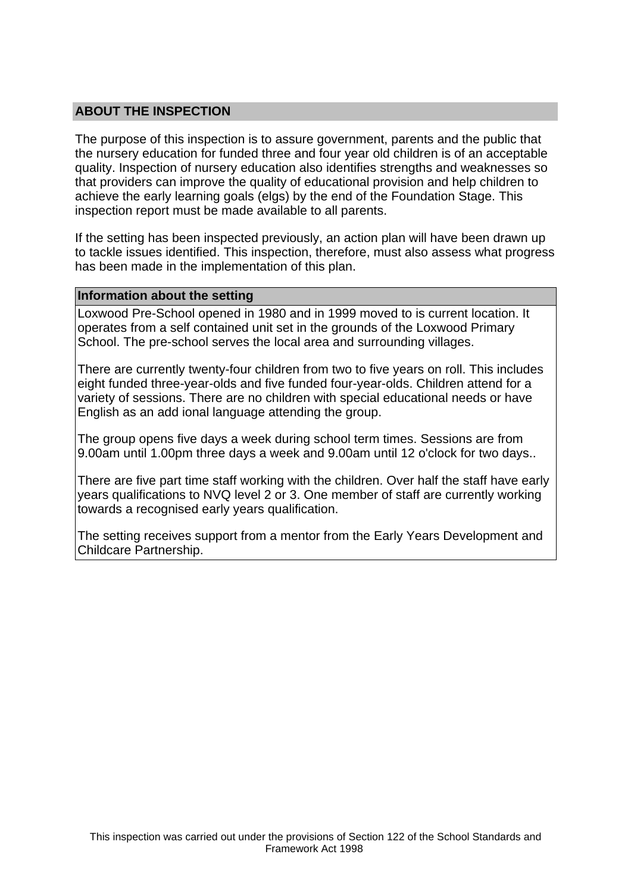## **ABOUT THE INSPECTION**

The purpose of this inspection is to assure government, parents and the public that the nursery education for funded three and four year old children is of an acceptable quality. Inspection of nursery education also identifies strengths and weaknesses so that providers can improve the quality of educational provision and help children to achieve the early learning goals (elgs) by the end of the Foundation Stage. This inspection report must be made available to all parents.

If the setting has been inspected previously, an action plan will have been drawn up to tackle issues identified. This inspection, therefore, must also assess what progress has been made in the implementation of this plan.

#### **Information about the setting**

Loxwood Pre-School opened in 1980 and in 1999 moved to is current location. It operates from a self contained unit set in the grounds of the Loxwood Primary School. The pre-school serves the local area and surrounding villages.

There are currently twenty-four children from two to five years on roll. This includes eight funded three-year-olds and five funded four-year-olds. Children attend for a variety of sessions. There are no children with special educational needs or have English as an add ional language attending the group.

The group opens five days a week during school term times. Sessions are from 9.00am until 1.00pm three days a week and 9.00am until 12 o'clock for two days..

There are five part time staff working with the children. Over half the staff have early years qualifications to NVQ level 2 or 3. One member of staff are currently working towards a recognised early years qualification.

The setting receives support from a mentor from the Early Years Development and Childcare Partnership.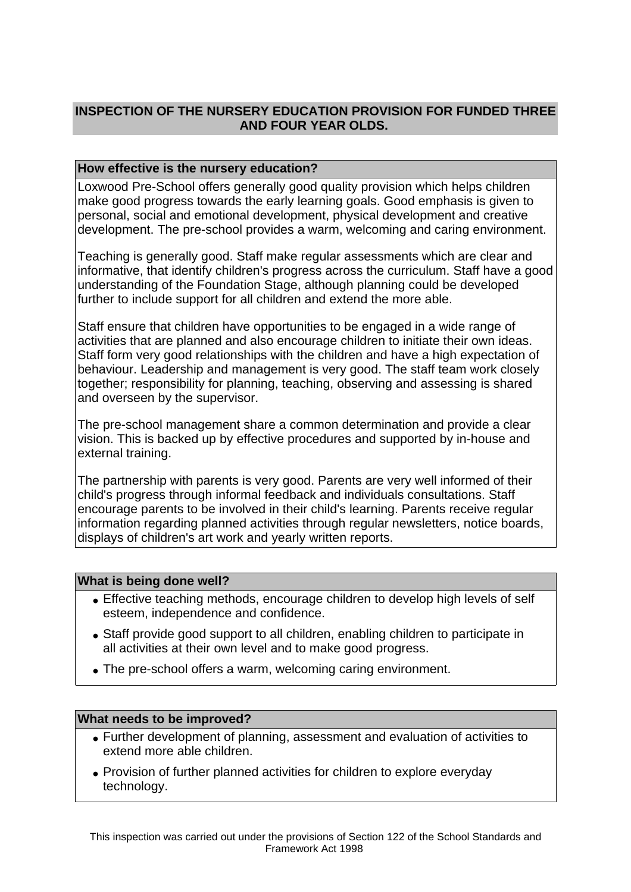# **INSPECTION OF THE NURSERY EDUCATION PROVISION FOR FUNDED THREE AND FOUR YEAR OLDS.**

## **How effective is the nursery education?**

Loxwood Pre-School offers generally good quality provision which helps children make good progress towards the early learning goals. Good emphasis is given to personal, social and emotional development, physical development and creative development. The pre-school provides a warm, welcoming and caring environment.

Teaching is generally good. Staff make regular assessments which are clear and informative, that identify children's progress across the curriculum. Staff have a good understanding of the Foundation Stage, although planning could be developed further to include support for all children and extend the more able.

Staff ensure that children have opportunities to be engaged in a wide range of activities that are planned and also encourage children to initiate their own ideas. Staff form very good relationships with the children and have a high expectation of behaviour. Leadership and management is very good. The staff team work closely together; responsibility for planning, teaching, observing and assessing is shared and overseen by the supervisor.

The pre-school management share a common determination and provide a clear vision. This is backed up by effective procedures and supported by in-house and external training.

The partnership with parents is very good. Parents are very well informed of their child's progress through informal feedback and individuals consultations. Staff encourage parents to be involved in their child's learning. Parents receive regular information regarding planned activities through regular newsletters, notice boards, displays of children's art work and yearly written reports.

#### **What is being done well?**

- Effective teaching methods, encourage children to develop high levels of self esteem, independence and confidence.
- Staff provide good support to all children, enabling children to participate in all activities at their own level and to make good progress.
- The pre-school offers a warm, welcoming caring environment.

#### **What needs to be improved?**

- Further development of planning, assessment and evaluation of activities to extend more able children.
- Provision of further planned activities for children to explore everyday technology.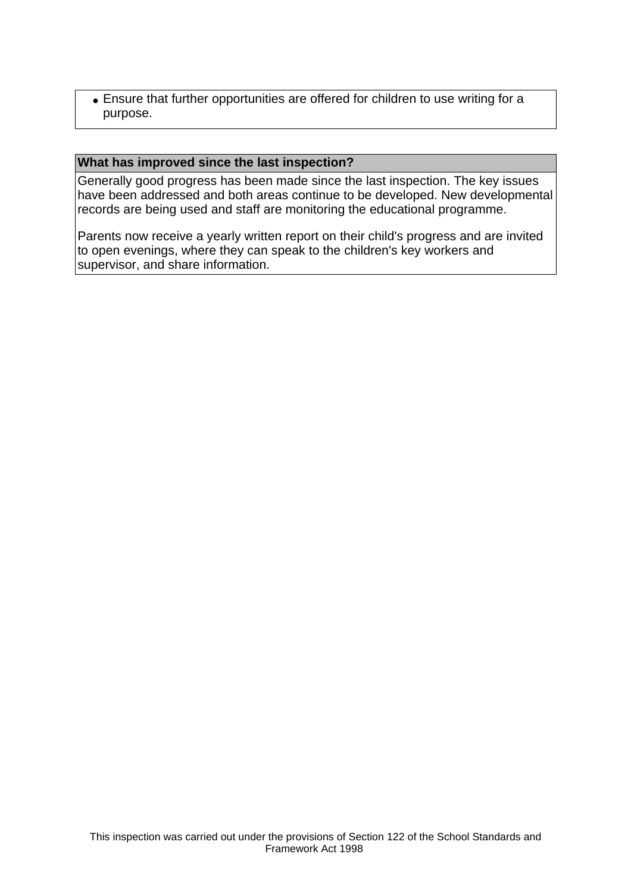• Ensure that further opportunities are offered for children to use writing for a purpose.

#### **What has improved since the last inspection?**

Generally good progress has been made since the last inspection. The key issues have been addressed and both areas continue to be developed. New developmental records are being used and staff are monitoring the educational programme.

Parents now receive a yearly written report on their child's progress and are invited to open evenings, where they can speak to the children's key workers and supervisor, and share information.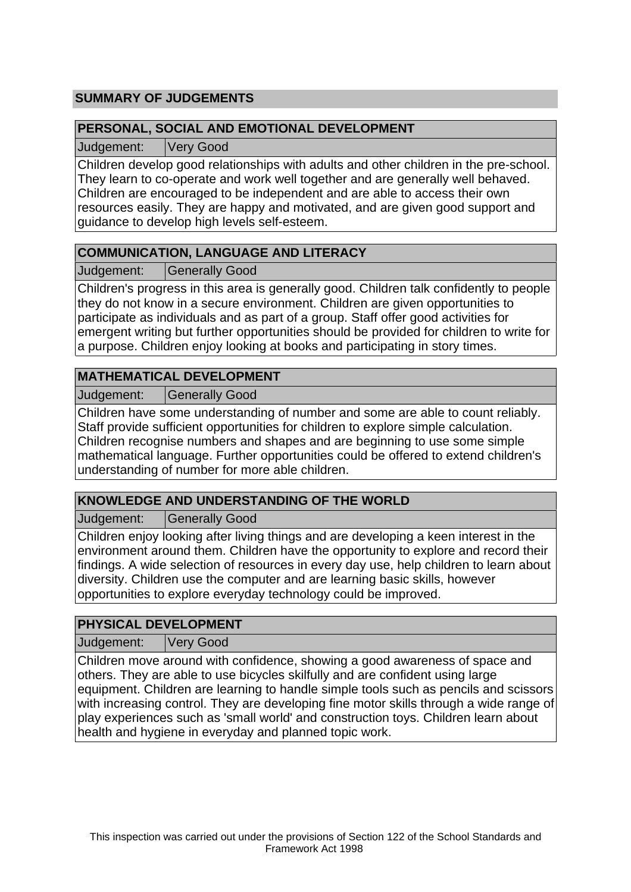# **SUMMARY OF JUDGEMENTS**

## **PERSONAL, SOCIAL AND EMOTIONAL DEVELOPMENT**

Judgement: Very Good

Children develop good relationships with adults and other children in the pre-school. They learn to co-operate and work well together and are generally well behaved. Children are encouraged to be independent and are able to access their own resources easily. They are happy and motivated, and are given good support and guidance to develop high levels self-esteem.

# **COMMUNICATION, LANGUAGE AND LITERACY**

Judgement: Generally Good

Children's progress in this area is generally good. Children talk confidently to people they do not know in a secure environment. Children are given opportunities to participate as individuals and as part of a group. Staff offer good activities for emergent writing but further opportunities should be provided for children to write for a purpose. Children enjoy looking at books and participating in story times.

# **MATHEMATICAL DEVELOPMENT**

Judgement: | Generally Good

Children have some understanding of number and some are able to count reliably. Staff provide sufficient opportunities for children to explore simple calculation. Children recognise numbers and shapes and are beginning to use some simple mathematical language. Further opportunities could be offered to extend children's understanding of number for more able children.

# **KNOWLEDGE AND UNDERSTANDING OF THE WORLD**

Judgement: Generally Good

Children enjoy looking after living things and are developing a keen interest in the environment around them. Children have the opportunity to explore and record their findings. A wide selection of resources in every day use, help children to learn about diversity. Children use the computer and are learning basic skills, however opportunities to explore everyday technology could be improved.

# **PHYSICAL DEVELOPMENT**

Judgement: Very Good

Children move around with confidence, showing a good awareness of space and others. They are able to use bicycles skilfully and are confident using large equipment. Children are learning to handle simple tools such as pencils and scissors with increasing control. They are developing fine motor skills through a wide range of play experiences such as 'small world' and construction toys. Children learn about health and hygiene in everyday and planned topic work.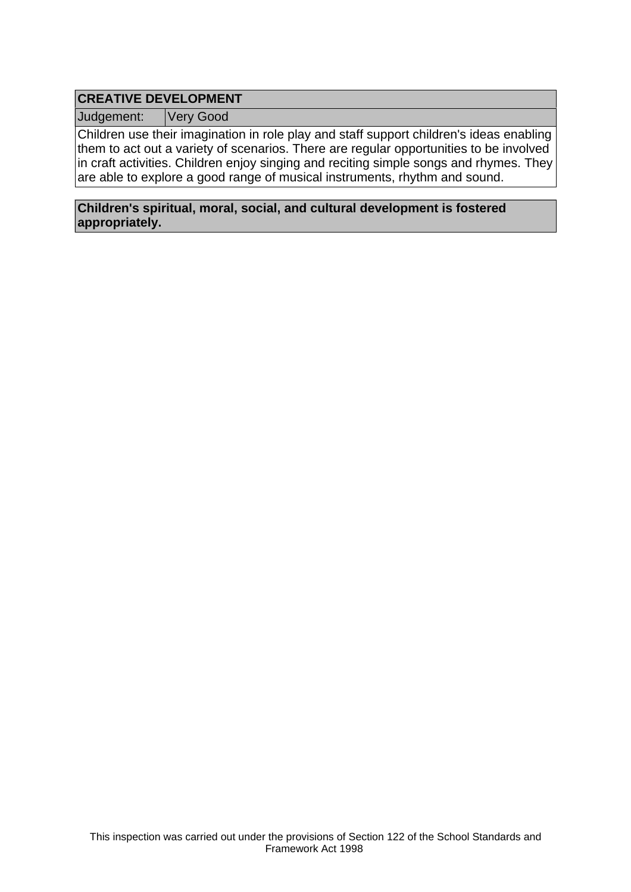# **CREATIVE DEVELOPMENT**

Judgement: Very Good

Children use their imagination in role play and staff support children's ideas enabling them to act out a variety of scenarios. There are regular opportunities to be involved in craft activities. Children enjoy singing and reciting simple songs and rhymes. They are able to explore a good range of musical instruments, rhythm and sound.

#### **Children's spiritual, moral, social, and cultural development is fostered appropriately.**